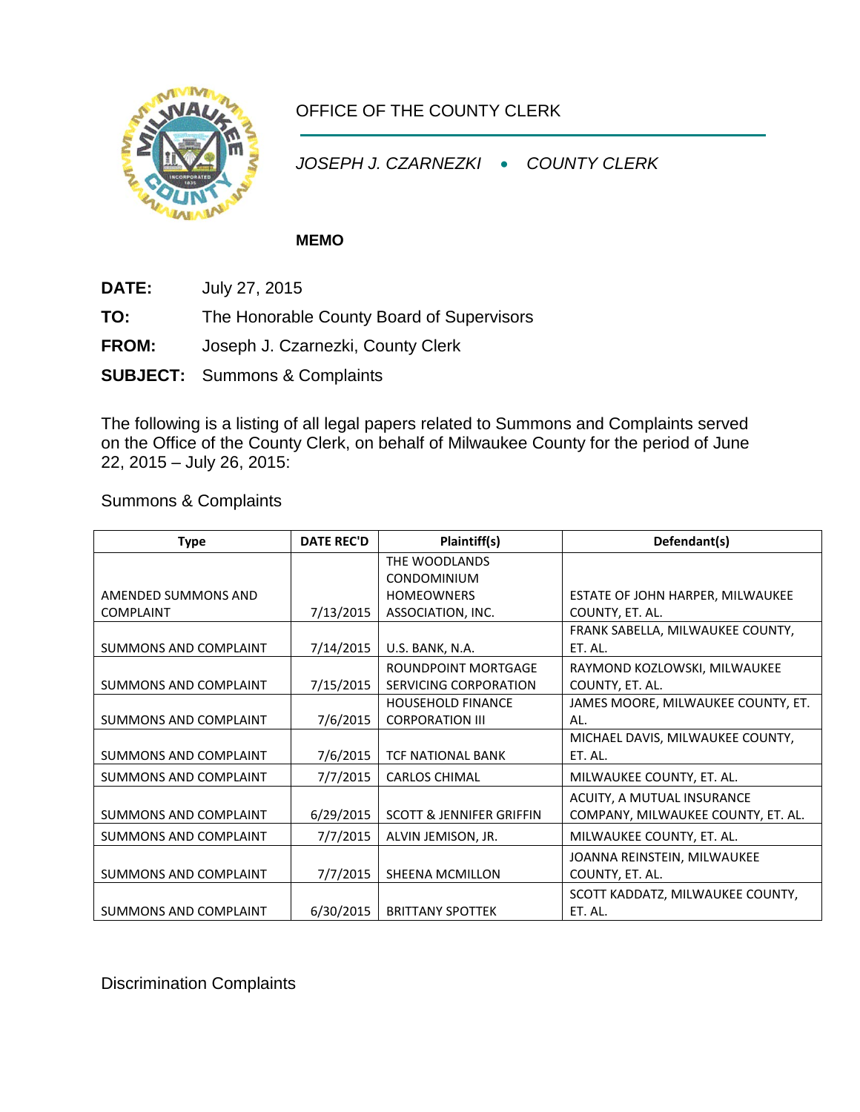

## OFFICE OF THE COUNTY CLERK

*JOSEPH J. CZARNEZKI* • *COUNTY CLERK*

## **MEMO**

- **DATE:** July 27, 2015
- **TO:** The Honorable County Board of Supervisors
- **FROM:** Joseph J. Czarnezki, County Clerk
- **SUBJECT:** Summons & Complaints

The following is a listing of all legal papers related to Summons and Complaints served on the Office of the County Clerk, on behalf of Milwaukee County for the period of June 22, 2015 – July 26, 2015:

Summons & Complaints

| <b>Type</b>                  | <b>DATE REC'D</b> | Plaintiff(s)                                      | Defendant(s)                       |
|------------------------------|-------------------|---------------------------------------------------|------------------------------------|
|                              |                   | THE WOODLANDS                                     |                                    |
|                              |                   | <b>CONDOMINIUM</b>                                |                                    |
| AMENDED SUMMONS AND          |                   | <b>HOMEOWNERS</b>                                 | ESTATE OF JOHN HARPER, MILWAUKEE   |
| <b>COMPLAINT</b>             | 7/13/2015         | ASSOCIATION, INC.                                 | COUNTY, ET. AL.                    |
|                              |                   |                                                   | FRANK SABELLA, MILWAUKEE COUNTY,   |
| <b>SUMMONS AND COMPLAINT</b> | 7/14/2015         | U.S. BANK, N.A.                                   | ET. AL.                            |
|                              |                   | <b>ROUNDPOINT MORTGAGE</b>                        | RAYMOND KOZLOWSKI, MILWAUKEE       |
| SUMMONS AND COMPLAINT        | 7/15/2015         | SERVICING CORPORATION                             | COUNTY, ET. AL.                    |
|                              |                   | <b>HOUSEHOLD FINANCE</b>                          | JAMES MOORE, MILWAUKEE COUNTY, ET. |
| <b>SUMMONS AND COMPLAINT</b> | 7/6/2015          | <b>CORPORATION III</b>                            | AL.                                |
|                              |                   |                                                   | MICHAEL DAVIS, MILWAUKEE COUNTY,   |
| SUMMONS AND COMPLAINT        | 7/6/2015          | <b>TCF NATIONAL BANK</b>                          | ET. AL.                            |
| SUMMONS AND COMPLAINT        | 7/7/2015          | <b>CARLOS CHIMAL</b><br>MILWAUKEE COUNTY, ET. AL. |                                    |
|                              |                   |                                                   | ACUITY, A MUTUAL INSURANCE         |
| SUMMONS AND COMPLAINT        | 6/29/2015         | <b>SCOTT &amp; JENNIFER GRIFFIN</b>               | COMPANY, MILWAUKEE COUNTY, ET. AL. |
| SUMMONS AND COMPLAINT        | 7/7/2015          | ALVIN JEMISON, JR.<br>MILWAUKEE COUNTY, ET. AL.   |                                    |
|                              |                   |                                                   | JOANNA REINSTEIN, MILWAUKEE        |
| <b>SUMMONS AND COMPLAINT</b> | 7/7/2015          | <b>SHEENA MCMILLON</b>                            | COUNTY, ET. AL.                    |
|                              |                   |                                                   | SCOTT KADDATZ, MILWAUKEE COUNTY,   |
| SUMMONS AND COMPLAINT        | 6/30/2015         | <b>BRITTANY SPOTTEK</b>                           | ET. AL.                            |

Discrimination Complaints